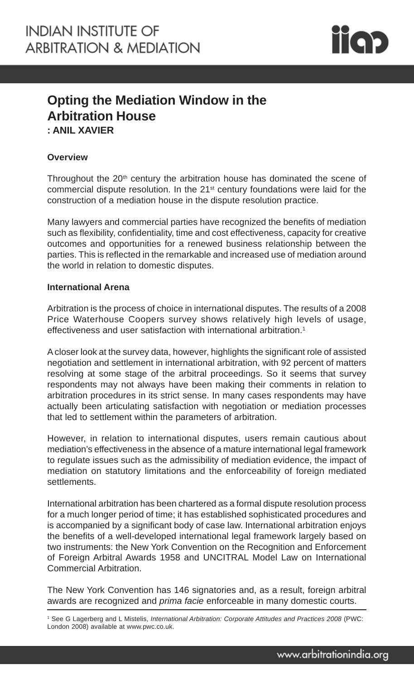

# **Opting the Mediation Window in the Arbitration House : ANIL XAVIER**

## **Overview**

Throughout the  $20<sup>th</sup>$  century the arbitration house has dominated the scene of commercial dispute resolution. In the 21st century foundations were laid for the construction of a mediation house in the dispute resolution practice.

Many lawyers and commercial parties have recognized the benefits of mediation such as flexibility, confidentiality, time and cost effectiveness, capacity for creative outcomes and opportunities for a renewed business relationship between the parties. This is reflected in the remarkable and increased use of mediation around the world in relation to domestic disputes.

#### **International Arena**

Arbitration is the process of choice in international disputes. The results of a 2008 Price Waterhouse Coopers survey shows relatively high levels of usage, effectiveness and user satisfaction with international arbitration.<sup>1</sup>

A closer look at the survey data, however, highlights the significant role of assisted negotiation and settlement in international arbitration, with 92 percent of matters resolving at some stage of the arbitral proceedings. So it seems that survey respondents may not always have been making their comments in relation to arbitration procedures in its strict sense. In many cases respondents may have actually been articulating satisfaction with negotiation or mediation processes that led to settlement within the parameters of arbitration.

However, in relation to international disputes, users remain cautious about mediation's effectiveness in the absence of a mature international legal framework to regulate issues such as the admissibility of mediation evidence, the impact of mediation on statutory limitations and the enforceability of foreign mediated settlements.

International arbitration has been chartered as a formal dispute resolution process for a much longer period of time; it has established sophisticated procedures and is accompanied by a significant body of case law. International arbitration enjoys the benefits of a well-developed international legal framework largely based on two instruments: the New York Convention on the Recognition and Enforcement of Foreign Arbitral Awards 1958 and UNCITRAL Model Law on International Commercial Arbitration.

The New York Convention has 146 signatories and, as a result, foreign arbitral awards are recognized and *prima facie* enforceable in many domestic courts.

<sup>1</sup> See G Lagerberg and L Mistelis, *International Arbitration: Corporate Attitudes and Practices 2008* (PWC: London 2008) available at www.pwc.co.uk.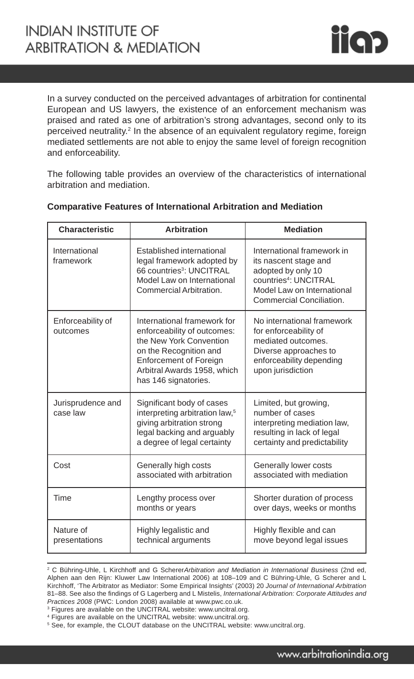

In a survey conducted on the perceived advantages of arbitration for continental European and US lawyers, the existence of an enforcement mechanism was praised and rated as one of arbitration's strong advantages, second only to its perceived neutrality.2 In the absence of an equivalent regulatory regime, foreign mediated settlements are not able to enjoy the same level of foreign recognition and enforceability.

The following table provides an overview of the characteristics of international arbitration and mediation.

| <b>Characteristic</b>         | <b>Arbitration</b>                                                                                                                                                                                      | <b>Mediation</b>                                                                                                                                                                |
|-------------------------------|---------------------------------------------------------------------------------------------------------------------------------------------------------------------------------------------------------|---------------------------------------------------------------------------------------------------------------------------------------------------------------------------------|
| International<br>framework    | Established international<br>legal framework adopted by<br>66 countries <sup>3</sup> : UNCITRAL<br>Model Law on International<br>Commercial Arbitration.                                                | International framework in<br>its nascent stage and<br>adopted by only 10<br>countries <sup>4</sup> : UNCITRAL<br>Model Law on International<br><b>Commercial Conciliation.</b> |
| Enforceability of<br>outcomes | International framework for<br>enforceability of outcomes:<br>the New York Convention<br>on the Recognition and<br><b>Enforcement of Foreign</b><br>Arbitral Awards 1958, which<br>has 146 signatories. | No international framework<br>for enforceability of<br>mediated outcomes.<br>Diverse approaches to<br>enforceability depending<br>upon jurisdiction                             |
| Jurisprudence and<br>case law | Significant body of cases<br>interpreting arbitration law, <sup>5</sup><br>giving arbitration strong<br>legal backing and arguably<br>a degree of legal certainty                                       | Limited, but growing,<br>number of cases<br>interpreting mediation law,<br>resulting in lack of legal<br>certainty and predictability                                           |
| Cost                          | Generally high costs<br>associated with arbitration                                                                                                                                                     | Generally lower costs<br>associated with mediation                                                                                                                              |
| <b>Time</b>                   | Lengthy process over<br>months or years                                                                                                                                                                 | Shorter duration of process<br>over days, weeks or months                                                                                                                       |
| Nature of<br>presentations    | Highly legalistic and<br>technical arguments                                                                                                                                                            | Highly flexible and can<br>move beyond legal issues                                                                                                                             |

#### **Comparative Features of International Arbitration and Mediation**

<sup>3</sup> Figures are available on the UNCITRAL website: www.uncitral.org.

<sup>2</sup> C Bühring-Uhle, L Kirchhoff and G Scherer*Arbitration and Mediation in International Business* (2nd ed, Alphen aan den Rijn: Kluwer Law International 2006) at 108–109 and C Bühring-Uhle, G Scherer and L Kirchhoff, 'The Arbitrator as Mediator: Some Empirical Insights' (2003) 20 *Journal of International Arbitration* 81–88. See also the findings of G Lagerberg and L Mistelis, *International Arbitration: Corporate Attitudes and Practices 2008* (PWC: London 2008) available at www.pwc.co.uk.

<sup>4</sup> Figures are available on the UNCITRAL website: www.uncitral.org.

<sup>&</sup>lt;sup>5</sup> See, for example, the CLOUT database on the UNCITRAL website: www.uncitral.org.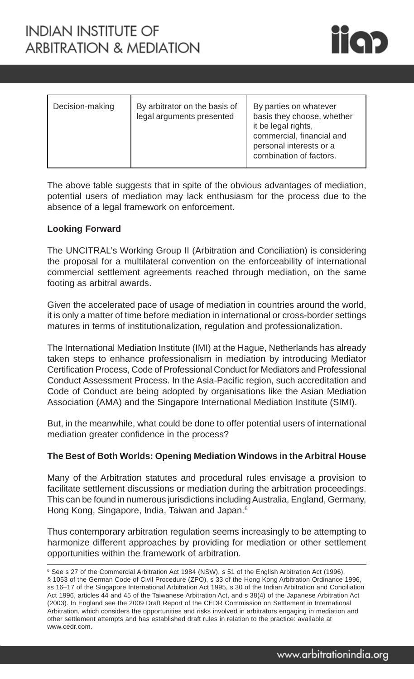

| Decision-making | By arbitrator on the basis of<br>legal arguments presented | By parties on whatever<br>basis they choose, whether<br>it be legal rights,<br>commercial, financial and<br>personal interests or a<br>combination of factors. |
|-----------------|------------------------------------------------------------|----------------------------------------------------------------------------------------------------------------------------------------------------------------|
|-----------------|------------------------------------------------------------|----------------------------------------------------------------------------------------------------------------------------------------------------------------|

The above table suggests that in spite of the obvious advantages of mediation, potential users of mediation may lack enthusiasm for the process due to the absence of a legal framework on enforcement.

## **Looking Forward**

The UNCITRAL's Working Group II (Arbitration and Conciliation) is considering the proposal for a multilateral convention on the enforceability of international commercial settlement agreements reached through mediation, on the same footing as arbitral awards.

Given the accelerated pace of usage of mediation in countries around the world, it is only a matter of time before mediation in international or cross-border settings matures in terms of institutionalization, regulation and professionalization.

The International Mediation Institute (IMI) at the Hague, Netherlands has already taken steps to enhance professionalism in mediation by introducing Mediator Certification Process, Code of Professional Conduct for Mediators and Professional Conduct Assessment Process. In the Asia-Pacific region, such accreditation and Code of Conduct are being adopted by organisations like the Asian Mediation Association (AMA) and the Singapore International Mediation Institute (SIMI).

But, in the meanwhile, what could be done to offer potential users of international mediation greater confidence in the process?

### **The Best of Both Worlds: Opening Mediation Windows in the Arbitral House**

Many of the Arbitration statutes and procedural rules envisage a provision to facilitate settlement discussions or mediation during the arbitration proceedings. This can be found in numerous jurisdictions including Australia, England, Germany, Hong Kong, Singapore, India, Taiwan and Japan.6

Thus contemporary arbitration regulation seems increasingly to be attempting to harmonize different approaches by providing for mediation or other settlement opportunities within the framework of arbitration.

<sup>&</sup>lt;sup>6</sup> See s 27 of the Commercial Arbitration Act 1984 (NSW), s 51 of the English Arbitration Act (1996), § 1053 of the German Code of Civil Procedure (ZPO), s 33 of the Hong Kong Arbitration Ordinance 1996, ss 16–17 of the Singapore International Arbitration Act 1995, s 30 of the Indian Arbitration and Conciliation Act 1996, articles 44 and 45 of the Taiwanese Arbitration Act, and s 38(4) of the Japanese Arbitration Act (2003). In England see the 2009 Draft Report of the CEDR Commission on Settlement in International Arbitration, which considers the opportunities and risks involved in arbitrators engaging in mediation and other settlement attempts and has established draft rules in relation to the practice: available at www.cedr.com.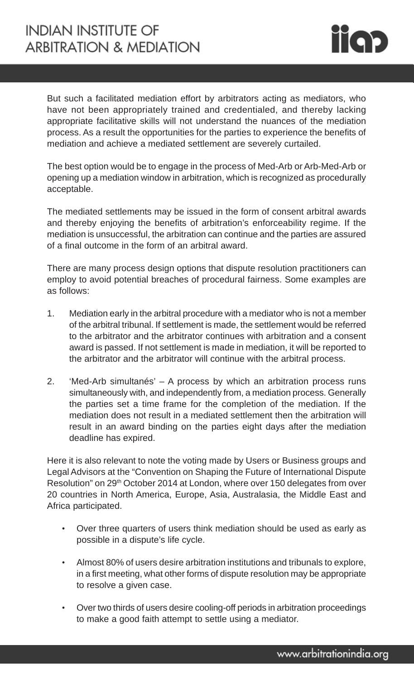

But such a facilitated mediation effort by arbitrators acting as mediators, who have not been appropriately trained and credentialed, and thereby lacking appropriate facilitative skills will not understand the nuances of the mediation process. As a result the opportunities for the parties to experience the benefits of mediation and achieve a mediated settlement are severely curtailed.

The best option would be to engage in the process of Med-Arb or Arb-Med-Arb or opening up a mediation window in arbitration, which is recognized as procedurally acceptable.

The mediated settlements may be issued in the form of consent arbitral awards and thereby enjoying the benefits of arbitration's enforceability regime. If the mediation is unsuccessful, the arbitration can continue and the parties are assured of a final outcome in the form of an arbitral award.

There are many process design options that dispute resolution practitioners can employ to avoid potential breaches of procedural fairness. Some examples are as follows:

- 1. Mediation early in the arbitral procedure with a mediator who is not a member of the arbitral tribunal. If settlement is made, the settlement would be referred to the arbitrator and the arbitrator continues with arbitration and a consent award is passed. If not settlement is made in mediation, it will be reported to the arbitrator and the arbitrator will continue with the arbitral process.
- 2. 'Med-Arb simultanés' A process by which an arbitration process runs simultaneously with, and independently from, a mediation process. Generally the parties set a time frame for the completion of the mediation. If the mediation does not result in a mediated settlement then the arbitration will result in an award binding on the parties eight days after the mediation deadline has expired.

Here it is also relevant to note the voting made by Users or Business groups and Legal Advisors at the "Convention on Shaping the Future of International Dispute Resolution" on 29<sup>th</sup> October 2014 at London, where over 150 delegates from over 20 countries in North America, Europe, Asia, Australasia, the Middle East and Africa participated.

- Over three quarters of users think mediation should be used as early as possible in a dispute's life cycle.
- Almost 80% of users desire arbitration institutions and tribunals to explore, in a first meeting, what other forms of dispute resolution may be appropriate to resolve a given case.
- Over two thirds of users desire cooling-off periods in arbitration proceedings to make a good faith attempt to settle using a mediator.